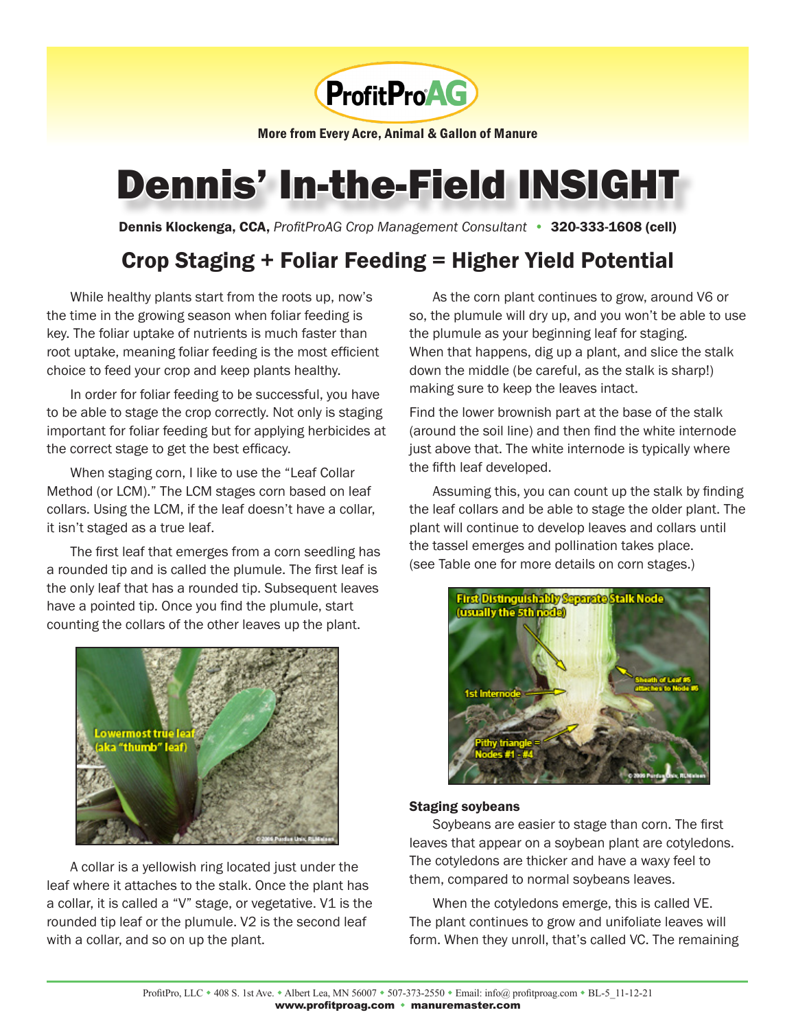

More from Every Acre, Animal & Gallon of Manure

# Dennis' In-the-Field INSIGHT

Dennis Klockenga, CCA, *ProfitProAG Crop Management Consultant* • 320-333-1608 (cell)

## Crop Staging + Foliar Feeding = Higher Yield Potential

While healthy plants start from the roots up, now's the time in the growing season when foliar feeding is key. The foliar uptake of nutrients is much faster than root uptake, meaning foliar feeding is the most efficient choice to feed your crop and keep plants healthy.

In order for foliar feeding to be successful, you have to be able to stage the crop correctly. Not only is staging important for foliar feeding but for applying herbicides at the correct stage to get the best efficacy.

When staging corn, I like to use the "Leaf Collar Method (or LCM)." The LCM stages corn based on leaf collars. Using the LCM, if the leaf doesn't have a collar, it isn't staged as a true leaf.

The first leaf that emerges from a corn seedling has a rounded tip and is called the plumule. The first leaf is the only leaf that has a rounded tip. Subsequent leaves have a pointed tip. Once you find the plumule, start counting the collars of the other leaves up the plant.



A collar is a yellowish ring located just under the leaf where it attaches to the stalk. Once the plant has a collar, it is called a "V" stage, or vegetative. V1 is the rounded tip leaf or the plumule. V2 is the second leaf with a collar, and so on up the plant.

As the corn plant continues to grow, around V6 or so, the plumule will dry up, and you won't be able to use the plumule as your beginning leaf for staging. When that happens, dig up a plant, and slice the stalk down the middle (be careful, as the stalk is sharp!) making sure to keep the leaves intact.

Find the lower brownish part at the base of the stalk (around the soil line) and then find the white internode just above that. The white internode is typically where the fifth leaf developed.

Assuming this, you can count up the stalk by finding the leaf collars and be able to stage the older plant. The plant will continue to develop leaves and collars until the tassel emerges and pollination takes place. (see Table one for more details on corn stages.)



#### Staging soybeans

Soybeans are easier to stage than corn. The first leaves that appear on a soybean plant are cotyledons. The cotyledons are thicker and have a waxy feel to them, compared to normal soybeans leaves.

When the cotyledons emerge, this is called VE. The plant continues to grow and unifoliate leaves will form. When they unroll, that's called VC. The remaining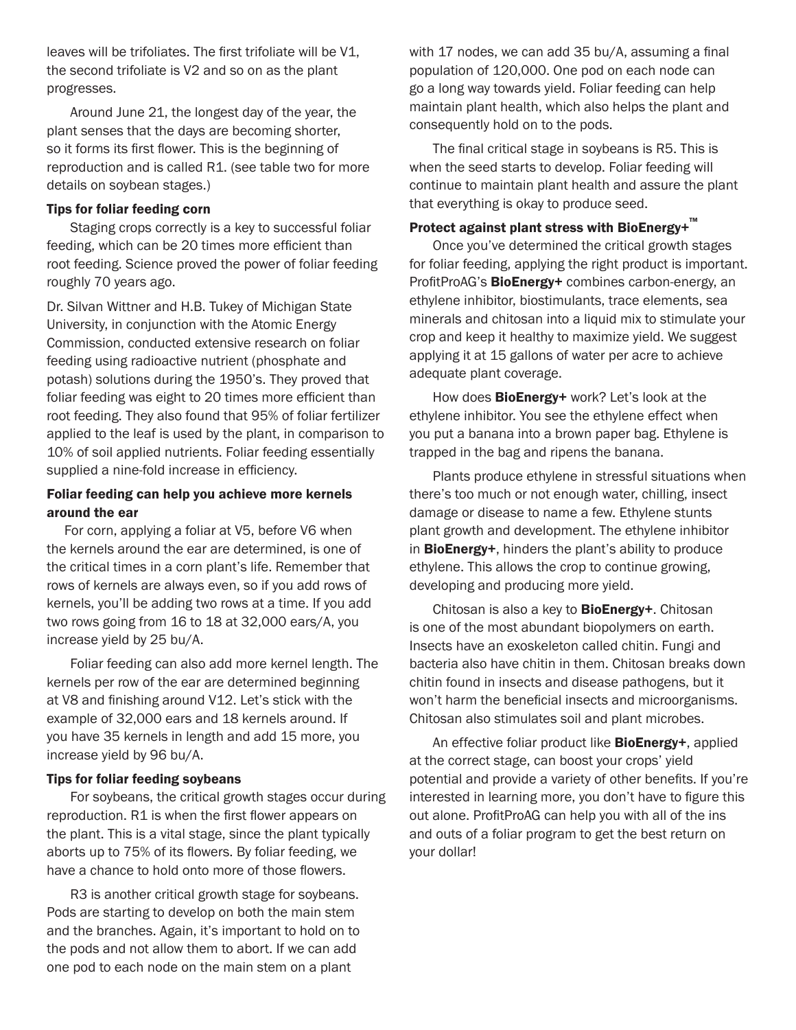leaves will be trifoliates. The first trifoliate will be V1, the second trifoliate is V2 and so on as the plant progresses.

Around June 21, the longest day of the year, the plant senses that the days are becoming shorter, so it forms its first flower. This is the beginning of reproduction and is called R1. (see table two for more details on soybean stages.)

#### Tips for foliar feeding corn

Staging crops correctly is a key to successful foliar feeding, which can be 20 times more efficient than root feeding. Science proved the power of foliar feeding roughly 70 years ago.

Dr. Silvan Wittner and H.B. Tukey of Michigan State University, in conjunction with the Atomic Energy Commission, conducted extensive research on foliar feeding using radioactive nutrient (phosphate and potash) solutions during the 1950's. They proved that foliar feeding was eight to 20 times more efficient than root feeding. They also found that 95% of foliar fertilizer applied to the leaf is used by the plant, in comparison to 10% of soil applied nutrients. Foliar feeding essentially supplied a nine-fold increase in efficiency.

#### Foliar feeding can help you achieve more kernels around the ear

For corn, applying a foliar at V5, before V6 when the kernels around the ear are determined, is one of the critical times in a corn plant's life. Remember that rows of kernels are always even, so if you add rows of kernels, you'll be adding two rows at a time. If you add two rows going from 16 to 18 at 32,000 ears/A, you increase yield by 25 bu/A.

Foliar feeding can also add more kernel length. The kernels per row of the ear are determined beginning at V8 and finishing around V12. Let's stick with the example of 32,000 ears and 18 kernels around. If you have 35 kernels in length and add 15 more, you increase yield by 96 bu/A.

#### Tips for foliar feeding soybeans

For soybeans, the critical growth stages occur during reproduction. R1 is when the first flower appears on the plant. This is a vital stage, since the plant typically aborts up to 75% of its flowers. By foliar feeding, we have a chance to hold onto more of those flowers.

R3 is another critical growth stage for soybeans. Pods are starting to develop on both the main stem and the branches. Again, it's important to hold on to the pods and not allow them to abort. If we can add one pod to each node on the main stem on a plant

with 17 nodes, we can add 35 bu/A, assuming a final population of 120,000. One pod on each node can go a long way towards yield. Foliar feeding can help maintain plant health, which also helps the plant and consequently hold on to the pods.

The final critical stage in soybeans is R5. This is when the seed starts to develop. Foliar feeding will continue to maintain plant health and assure the plant that everything is okay to produce seed.

#### Protect against plant stress with BioEnergy+ $\mathbb{R}$

Once you've determined the critical growth stages for foliar feeding, applying the right product is important. ProfitProAG's BioEnergy+ combines carbon-energy, an ethylene inhibitor, biostimulants, trace elements, sea minerals and chitosan into a liquid mix to stimulate your crop and keep it healthy to maximize yield. We suggest applying it at 15 gallons of water per acre to achieve adequate plant coverage.

How does **BioEnergy+** work? Let's look at the ethylene inhibitor. You see the ethylene effect when you put a banana into a brown paper bag. Ethylene is trapped in the bag and ripens the banana.

Plants produce ethylene in stressful situations when there's too much or not enough water, chilling, insect damage or disease to name a few. Ethylene stunts plant growth and development. The ethylene inhibitor in **BioEnergy+**, hinders the plant's ability to produce ethylene. This allows the crop to continue growing, developing and producing more yield.

Chitosan is also a key to BioEnergy+. Chitosan is one of the most abundant biopolymers on earth. Insects have an exoskeleton called chitin. Fungi and bacteria also have chitin in them. Chitosan breaks down chitin found in insects and disease pathogens, but it won't harm the beneficial insects and microorganisms. Chitosan also stimulates soil and plant microbes.

An effective foliar product like **BioEnergy+**, applied at the correct stage, can boost your crops' yield potential and provide a variety of other benefits. If you're interested in learning more, you don't have to figure this out alone. ProfitProAG can help you with all of the ins and outs of a foliar program to get the best return on your dollar!